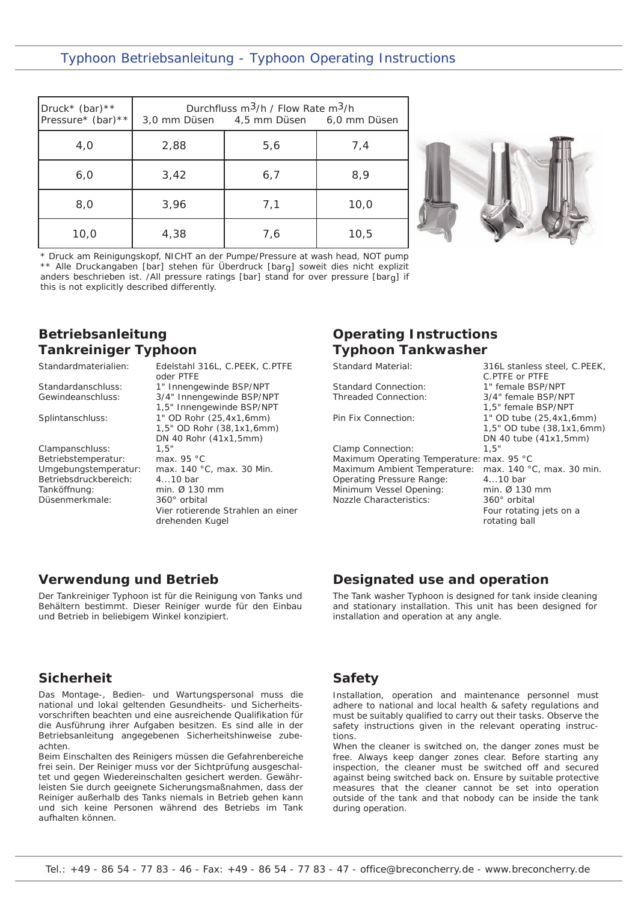### Typhoon Betriebsanleitung - Typhoon Operating Instructions

| Druck* (bar) **<br>Pressure* (bar) ** |      | Durchfluss $m^3/h$ / Flow Rate $m^3/h$<br>3,0 mm Düsen 4,5 mm Düsen 6,0 mm Düsen |      |
|---------------------------------------|------|----------------------------------------------------------------------------------|------|
| 4,0                                   | 2,88 | 5,6                                                                              | 7,4  |
| 6,0                                   | 3,42 | 6,7                                                                              | 8,9  |
| 8,0                                   | 3,96 | 7,1                                                                              | 10,0 |
| 10,0                                  | 4,38 | 7,6                                                                              | 10,5 |



\* Druck am Reinigungskopf, NICHT an der Pumpe/Pressure at wash head, NOT pump \*\* Alle Druckangaben [bar] stehen für Überdruck [barg] soweit dies nicht explizit anders beschrieben ist. /All pressure ratings [bar] stand for over pressure [barg] if this is not explicitly described differently.

# **Betriebsanleitung Tankreiniger Typhoon**

| Standardmaterialien:  | Edelstahl 316L, C.PEEK, C.PTFE<br>oder PTFE |
|-----------------------|---------------------------------------------|
| Standardanschluss:    | 1" Innengewinde BSP/NPT                     |
| Gewindeanschluss:     | 3/4" Innengewinde BSP/NPT                   |
|                       | 1,5" Innengewinde BSP/NPT                   |
| Splintanschluss:      | 1" OD Rohr (25,4x1,6mm)                     |
|                       | 1,5" OD Rohr (38,1x1,6mm)                   |
|                       | DN 40 Rohr (41x1,5mm)                       |
| Clampanschluss:       | 1.5"                                        |
| Betriebstemperatur:   | max. $95 °C$                                |
| Umgebungstemperatur:  | max. 140 °C, max. 30 Min.                   |
| Betriebsdruckbereich: | $410$ bar                                   |
| Tanköffnung:          | min. Ø 130 mm                               |
| Düsenmerkmale:        | 360° orbital                                |
|                       | Vier rotierende Strahlen an einer           |
|                       | drehenden Kugel                             |
|                       |                                             |

# **Operating Instructions Typhoon Tankwasher**

Standard Material:

Standard Connection: Threaded Connection:

Pin Fix Connection:

Clamp Connection: Maximum Operating Temperature: max. 95 °C Maximum Ambient Temperature: Operating Pressure Range: Minimum Vessel Opening: Nozzle Characteristics:

316L stanless steel, C.PEEK, C.PTFE or PTFE 1" female BSP/NPT 3/4" female BSP/NPT 1,5" female BSP/NPT 1" OD tube (25,4x1,6mm) 1,5" OD tube (38,1x1,6mm) DN 40 tube (41x1,5mm) 1,5" max. 140 °C, max. 30 min. 4...10 bar min. Ø 130 mm 360° orbital Four rotating jets on a rotating ball

### **Verwendung und Betrieb**

Der Tankreiniger Typhoon ist für die Reinigung von Tanks und Behältern bestimmt. Dieser Reiniger wurde für den Einbau und Betrieb in beliebigem Winkel konzipiert.

### **Sicherheit**

Das Montage-, Bedien- und Wartungspersonal muss die national und lokal geltenden Gesundheits- und Sicherheitsvorschriften beachten und eine ausreichende Qualifikation für die Ausführung ihrer Aufgaben besitzen. Es sind alle in der Betriebsanleitung angegebenen Sicherheitshinweise zubeachten.

Beim Einschalten des Reinigers müssen die Gefahrenbereiche frei sein. Der Reiniger muss vor der Sichtprüfung ausgeschaltet und gegen Wiedereinschalten gesichert werden. Gewährleisten Sie durch geeignete Sicherungsmaßnahmen, dass der Reiniger außerhalb des Tanks niemals in Betrieb gehen kann und sich keine Personen während des Betriebs im Tank aufhalten können.

## **Safety**

Installation, operation and maintenance personnel must adhere to national and local health & safety regulations and must be suitably qualified to carry out their tasks. Observe the safety instructions given in the relevant operating instructions.

**Designated use and operation** 

installation and operation at any angle.

The Tank washer Typhoon is designed for tank inside cleaning and stationary installation. This unit has been designed for

When the cleaner is switched on, the danger zones must be free. Always keep danger zones clear. Before starting any inspection, the cleaner must be switched off and secured against being switched back on. Ensure by suitable protective measures that the cleaner cannot be set into operation outside of the tank and that nobody can be inside the tank during operation.